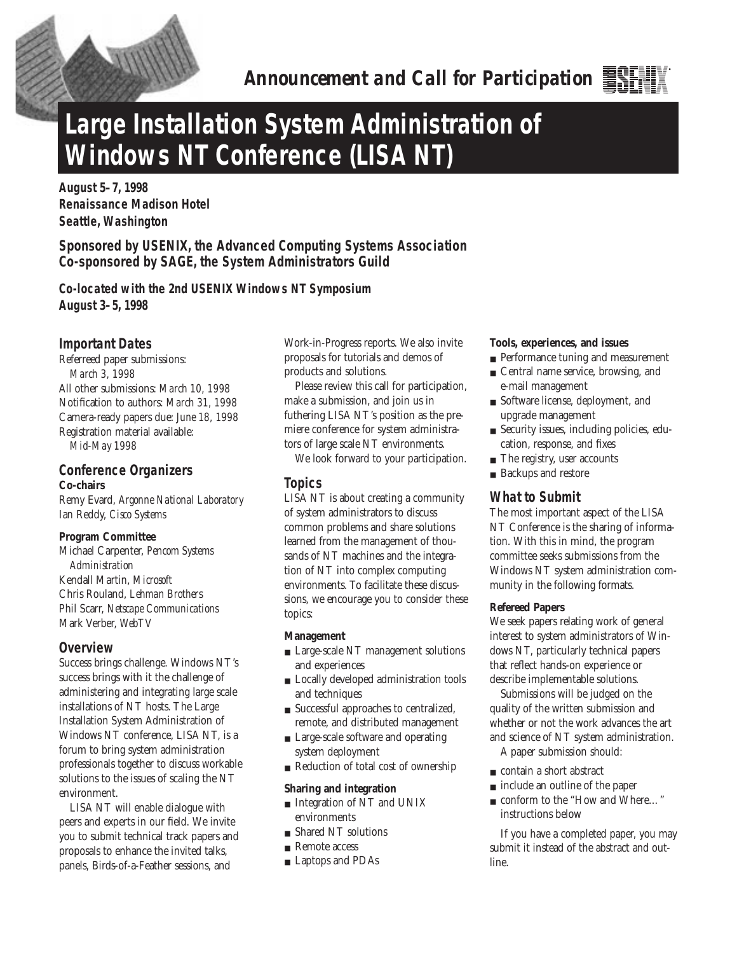

*Announcement and Call for Participation*

# **Large Installation System Administration of Windows NT Conference (LISA NT)**

**August 5–7, 1998 Renaissance Madison Hotel Seattle, Washington** 

**Sponsored by USENIX, the Advanced Computing Systems Association Co-sponsored by SAGE, the System Administrators Guild**

**Co-located with the 2nd USENIX Windows NT Symposium August 3–5, 1998**

# **Important Dates**

Referreed paper submissions: *March 3, 1998* All other submissions: *March 10, 1998* Notification to authors: *March 31, 1998* Camera-ready papers due: *June 18, 1998* Registration material available: *Mid-May 1998*

# **Conference Organizers Co-chairs**

Remy Evard, *Argonne National Laboratory* Ian Reddy, *Cisco Systems*

## **Program Committee**

Michael Carpenter, *Pencom Systems Administration* Kendall Martin, *Microsoft* Chris Rouland, *Lehman Brother*s Phil Scarr, *Netscape Communications* Mark Verber, *WebTV*

# **Overview**

Success brings challenge. Windows NT's success brings with it the challenge of administering and integrating large scale installations of NT hosts. The Large Installation System Administration of Windows NT conference, LISA NT, is a forum to bring system administration professionals together to discuss workable solutions to the issues of scaling the NT environment.

LISA NT will enable dialogue with peers and experts in our field. We invite you to submit technical track papers and proposals to enhance the invited talks, panels, Birds-of-a-Feather sessions, and

Work-in-Progress reports. We also invite proposals for tutorials and demos of products and solutions.

Please review this call for participation, make a submission, and join us in futhering LISA NT's position as the premiere conference for system administrators of large scale NT environments.

We look forward to your participation.

# **Topics**

LISA NT is about creating a community of system administrators to discuss common problems and share solutions learned from the management of thousands of NT machines and the integration of NT into complex computing environments. To facilitate these discussions, we encourage you to consider these topics:

## **Management**

- Large-scale NT management solutions and experiences
- Locally developed administration tools and techniques
- Successful approaches to centralized, remote, and distributed management
- Large-scale software and operating system deployment
- Reduction of total cost of ownership

## **Sharing and integration**

- Integration of NT and UNIX environments
- Shared NT solutions
- Remote access
- Laptops and PDAs

#### **Tools, experiences, and issues**

- Performance tuning and measurement
- Central name service, browsing, and e-mail management
- Software license, deployment, and upgrade management
- Security issues, including policies, education, response, and fixes
- The registry, user accounts
- Backups and restore

## **What to Submit**

The most important aspect of the LISA NT Conference is the sharing of information. With this in mind, the program committee seeks submissions from the Windows NT system administration community in the following formats.

## **Refereed Papers**

We seek papers relating work of general interest to system administrators of Windows NT, particularly technical papers that reflect hands-on experience or describe implementable solutions.

Submissions will be judged on the quality of the written submission and whether or not the work advances the art and science of NT system administration.

A paper submission should:

- contain a short abstract
- include an outline of the paper
- conform to the "How and Where..." instructions below

If you have a completed paper, you may submit it instead of the abstract and outline.